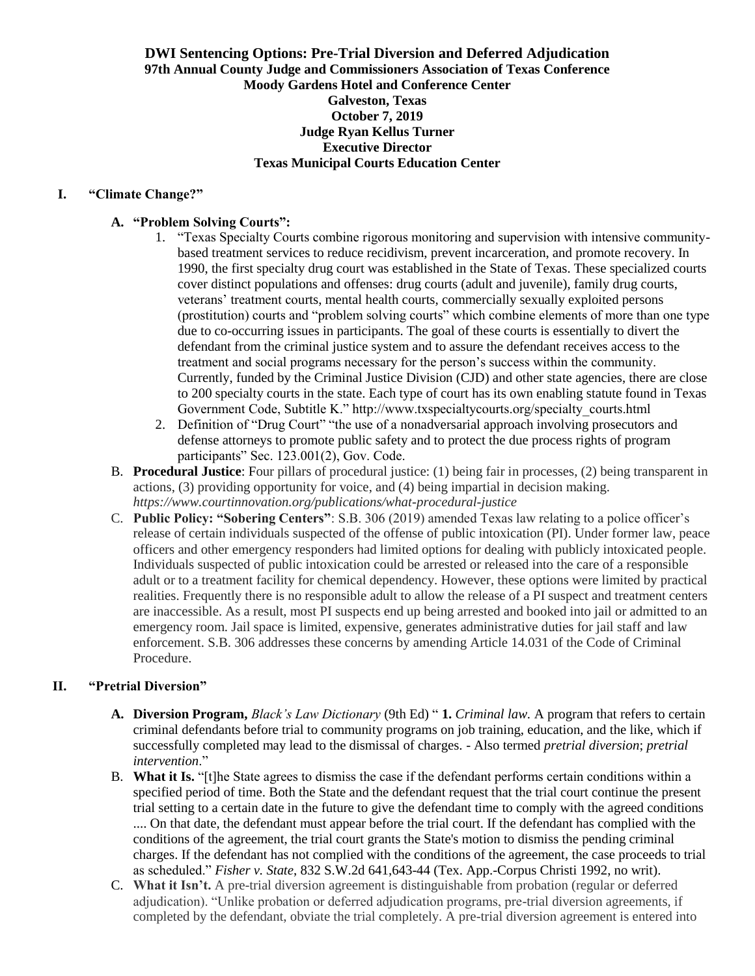### **DWI Sentencing Options: Pre-Trial Diversion and Deferred Adjudication 97th Annual County Judge and Commissioners Association of Texas Conference Moody Gardens Hotel and Conference Center Galveston, Texas October 7, 2019 Judge Ryan Kellus Turner Executive Director Texas Municipal Courts Education Center**

#### **I. "Climate Change?"**

#### **A. "Problem Solving Courts":**

- 1. "Texas Specialty Courts combine rigorous monitoring and supervision with intensive communitybased treatment services to reduce recidivism, prevent incarceration, and promote recovery. In 1990, the first specialty drug court was established in the State of Texas. These specialized courts cover distinct populations and offenses: drug courts (adult and juvenile), family drug courts, veterans' treatment courts, mental health courts, commercially sexually exploited persons (prostitution) courts and "problem solving courts" which combine elements of more than one type due to co-occurring issues in participants. The goal of these courts is essentially to divert the defendant from the criminal justice system and to assure the defendant receives access to the treatment and social programs necessary for the person's success within the community. Currently, funded by the Criminal Justice Division (CJD) and other state agencies, there are close to 200 specialty courts in the state. Each type of court has its own enabling statute found in Texas Government Code, Subtitle K." http://www.txspecialtycourts.org/specialty\_courts.html
- 2. Definition of "Drug Court" "the use of a nonadversarial approach involving prosecutors and defense attorneys to promote public safety and to protect the due process rights of program participants" Sec. 123.001(2), Gov. Code.
- B. **Procedural Justice**: Four pillars of procedural justice: (1) being fair in processes, (2) being transparent in actions, (3) providing opportunity for voice, and (4) being impartial in decision making. *https://www.courtinnovation.org/publications/what-procedural-justice*
- C. **Public Policy: "Sobering Centers"**: S.B. 306 (2019) amended Texas law relating to a police officer's release of certain individuals suspected of the offense of public intoxication (PI). Under former law, peace officers and other emergency responders had limited options for dealing with publicly intoxicated people. Individuals suspected of public intoxication could be arrested or released into the care of a responsible adult or to a treatment facility for chemical dependency. However, these options were limited by practical realities. Frequently there is no responsible adult to allow the release of a PI suspect and treatment centers are inaccessible. As a result, most PI suspects end up being arrested and booked into jail or admitted to an emergency room. Jail space is limited, expensive, generates administrative duties for jail staff and law enforcement. S.B. 306 addresses these concerns by amending Article 14.031 of the Code of Criminal Procedure.

## **II. "Pretrial Diversion"**

- **A. Diversion Program,** *Black's Law Dictionary* (9th Ed) " **1.** *Criminal law.* A program that refers to certain criminal defendants before trial to community programs on job training, education, and the like, which if successfully completed may lead to the dismissal of charges. - Also termed *pretrial diversion*; *pretrial intervention*."
- B. **What it Is.** "[t]he State agrees to dismiss the case if the defendant performs certain conditions within a specified period of time. Both the State and the defendant request that the trial court continue the present trial setting to a certain date in the future to give the defendant time to comply with the agreed conditions .... On that date, the defendant must appear before the trial court. If the defendant has complied with the conditions of the agreement, the trial court grants the State's motion to dismiss the pending criminal charges. If the defendant has not complied with the conditions of the agreement, the case proceeds to trial as scheduled." *Fisher v. State*, 832 S.W.2d 641,643-44 (Tex. App.-Corpus Christi 1992, no writ).
- C. **What it Isn't.** A pre-trial diversion agreement is distinguishable from probation (regular or deferred adjudication). "Unlike probation or deferred adjudication programs, pre-trial diversion agreements, if completed by the defendant, obviate the trial completely. A pre-trial diversion agreement is entered into